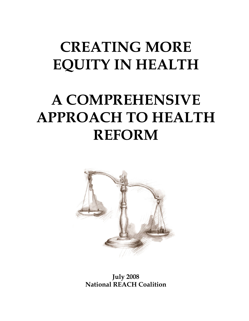# **CREATING MORE EQUITY IN HEALTH**

# **A COMPREHENSIVE APPROACH TO HEALTH REFORM**



**July 2008 National REACH Coalition**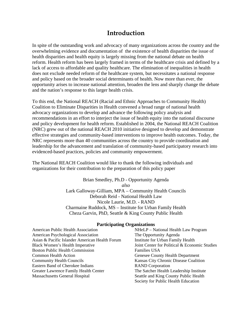# **Introduction**

In spite of the outstanding work and advocacy of many organizations across the country and the overwhelming evidence and documentation of the existence of health disparities the issue of health disparities and health equity is largely missing from the national debate on health reform. Health reform has been largely framed in terms of the healthcare crisis and defined by a lack of access to affordable and quality healthcare. The elimination of inequalities in health does not exclude needed reform of the healthcare system, but necessitates a national response and policy based on the broader social determinants of health. Now more than ever, the opportunity arises to increase national attention, broaden the lens and sharply change the debate and the nation's response to this larger health crisis.

To this end, the National REACH (Racial and Ethnic Approaches to Community Health) Coalition to Eliminate Disparities in Health convened a broad range of national health advocacy organizations to develop and advance the following policy analysis and recommendations in an effort to interject the issue of health equity into the national discourse and policy development for health reform. Established in 2004, the National REACH Coalition (NRC) grew out of the national REACH 2010 initiative designed to develop and demonstrate effective strategies and community-based interventions to improve health outcomes. Today, the NRC represents more than 40 communities across the country to provide coordination and leadership for the advancement and translation of community-based participatory research into evidenced-based practices, policies and community empowerment.

The National REACH Coalition would like to thank the following individuals and organizations for their contribution to the preparation of this policy paper

> Brian Smedley, Ph.D - Opportunity Agenda *also*  Lark Galloway-Gilliam, MPA – Community Health Councils Deborah Reid - National Health Law Nicole Laurie, M.D. - RAND Charmaine Ruddock, MS – Institute for Urban Family Health Cheza Garvin, PhD, Seattle & King County Public Health

#### **Participating Organizations**

American Public Health Association NHeLP – National Health Law Program American Psychological Association The Opportunity Agenda Asian & Pacific Islander American Health Forum Institute for Urban Family Health Black Women's Health Imperative Joint Center for Political & Economic Studies Boston Public Health Commission<br>
Families USA Common Health Action Genesee County Health Department Community Health Councils Kansas City Chronic Disease Coalition Eastern Band of Cherokee Indians RAND Corporation Greater Lawrence Family Health Center The Satcher Health Leadership Institute Massachusetts General Hospital Seattle and King County Public Health

Society for Public Health Education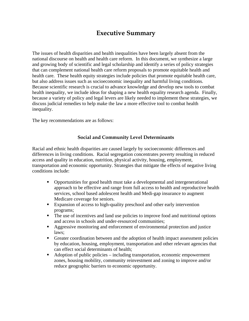# **Executive Summary**

The issues of health disparities and health inequalities have been largely absent from the national discourse on health and health care reform. In this document, we synthesize a large and growing body of scientific and legal scholarship and identify a series of policy strategies that can complement national health care reform proposals to promote equitable health and health care. These health equity strategies include policies that promote equitable health care, but also address issues such as socioeconomic inequality and harmful living conditions. Because scientific research is crucial to advance knowledge and develop new tools to combat health inequality, we include ideas for shaping a new health equality research agenda. Finally, because a variety of policy and legal levers are likely needed to implement these strategies, we discuss judicial remedies to help make the law a more effective tool to combat health inequality.

The key recommendations are as follows:

## **Social and Community Level Determinants**

Racial and ethnic health disparities are caused largely by socioeconomic differences and differences in living conditions. Racial segregation concentrates poverty resulting in reduced access and quality in education, nutrition, physical activity, housing, employment, transportation and economic opportunity. Strategies that mitigate the effects of negative living conditions include:

- Opportunities for good health must take a developmental and intergenerational approach to be effective and range from full access to health and reproductive health services, school based adolescent health and Medi-gap insurance to augment Medicare coverage for seniors.
- Expansion of access to high-quality preschool and other early intervention programs;
- The use of incentives and land use policies to improve food and nutritional options and access in schools and under-resourced communities;
- Aggressive monitoring and enforcement of environmental protection and justice laws;
- Greater coordination between and the adoption of health impact assessment policies by education, housing, employment, transportation and other relevant agencies that can effect social determinants of health;
- Adoption of public policies including transportation, economic empowerment zones, housing mobility, community reinvestment and zoning to improve and/or reduce geographic barriers to economic opportunity.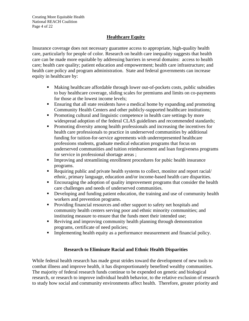## **Healthcare Equity**

Insurance coverage does not necessary guarantee access to appropriate, high-quality health care, particularly for people of color. Research on health care inequality suggests that health care can be made more equitable by addressing barriers in several domains: access to health care; health care quality; patient education and empowerment; health care infrastructure; and health care policy and program administration. State and federal governments can increase equity in healthcare by:

- Making healthcare affordable through lower out-of-pockets costs, public subsidies to buy healthcare coverage, sliding scales for premiums and limits on co-payments for those at the lowest income levels;
- Ensuring that all state residents have a medical home by expanding and promoting Community Health Centers and other publicly-supported healthcare institutions;
- **Promoting cultural and linguistic competence in health care settings by more** widespread adoption of the federal CLAS guidelines and recommended standards;
- **Promoting diversity among health professionals and increasing the incentives for** health care professionals to practice in underserved communities by additional funding for tuition-for-service agreements with underrepresented healthcare professions students, graduate medical education programs that focus on underserved communities and tuition reimbursement and loan forgiveness programs for service in professional shortage areas ;
- Improving and streamlining enrollment procedures for pubic health insurance programs.
- Requiring public and private health systems to collect, monitor and report racial/ ethnic, primary language, education and/or income-based health care disparities.
- **Encouraging the adoption of quality improvement programs that consider the health** care challenges and needs of underserved communities.
- Developing and funding patient education, the training and use of community health workers and prevention programs.
- **Providing financial resources and other support to safety net hospitals and** community health centers serving poor and ethnic minority communities; and instituting measure to ensure that the funds meet their intended use;
- Reviving and improving community health planning through demonstration programs, certificate of need policies;
- Implementing health equity as a performance measurement and financial policy.

## **Research to Eliminate Racial and Ethnic Health Disparities**

While federal health research has made great strides toward the development of new tools to combat illness and improve health, it has disproportionately benefited wealthy communities. The majority of federal research funds continue to be expended on genetic and biological research, or research to improve individual health behavior, to the relative exclusion of research to study how social and community environments affect health. Therefore, greater priority and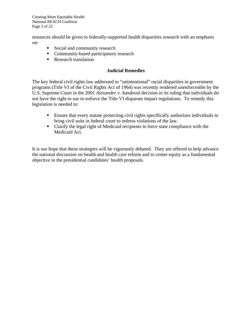Creating More Equitable Health National REACH Coalition Page 5 of 22

resources should be given to federally-supported health disparities research with an emphasis on:

- Social and community research
- Community-based participatory research
- **Research translation**

#### **Judicial Remedies**

The key federal civil rights law addressed to "unintentional" racial disparities in government programs (Title VI of the Civil Rights Act of 1964) was recently rendered unenforceable by the U.S. Supreme Court in the 2001 *Alexander v. Sandoval* decision in its ruling that individuals do not have the right to sue to enforce the Title VI disparate impact regulations. To remedy this legislation is needed to:

- Ensure that every statute protecting civil rights specifically authorizes individuals to bring civil suits in federal court to redress violations of the law.
- Clarify the legal right of Medicaid recipients to force state compliance with the Medicaid Act.

It is our hope that these strategies will be vigorously debated. They are offered to help advance the national discussion on health and health care reform and to center equity as a fundamental objective in the presidential candidates' health proposals.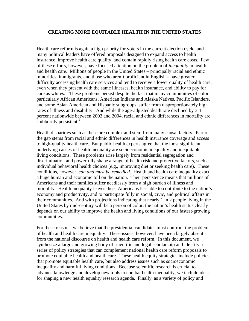#### **CREATING MORE EQUITABLE HEALTH IN THE UNITED STATES**

Health care reform is again a high priority for voters in the current election cycle, and many political leaders have offered proposals designed to expand access to health insurance, improve health care quality, and contain rapidly rising health care costs. Few of these efforts, however, have focused attention on the problem of *inequality* in health and health care. Millions of people in the United States – principally racial and ethnic minorities, immigrants, and those who aren't proficient in English – have greater difficulty accessing health care services and tend to receive a lower quality of health care, even when they present with the same illnesses, health insurance, and ability to pay for care as whites.<sup>1</sup> These problems persist despite the fact that many communities of color, particularly African Americans, American Indians and Alaska Natives, Pacific Islanders, and some Asian American and Hispanic subgroups, suffer from disproportionately high rates of illness and disability. And while the age-adjusted death rate declined by 3.4 percent nationwide between 2003 and 2004, racial and ethnic differences in mortality are stubbornly persistent.<sup>2</sup>

Health disparities such as these are complex and stem from many causal factors. Part of the gap stems from racial and ethnic differences in health insurance coverage and access to high-quality health care. But public health experts agree that the most significant underlying causes of health inequality are socioeconomic inequality and inequitable living conditions. These problems arise largely from residential segregation and discrimination and powerfully shape a range of health risk and protective factors, such as individual behavioral health choices (e.g., improving diet or seeking health care). These conditions, however, *can and must be remedied*. Health and health care inequality exact a huge human and economic toll on the nation. Their persistence means that millions of Americans and their families suffer needlessly from a high burden of illness and mortality. Health inequality leaves these Americans less able to contribute to the nation's economy and productivity, and to participate fully in social, civic, and political affairs in their communities. And with projections indicating that nearly 1 in 2 people living in the United States by mid-century will be a person of color, the nation's health status clearly depends on our ability to improve the health and living conditions of our fastest-growing communities.

For these reasons, we believe that the presidential candidates must confront the problem of health and health care inequality. These issues, however, have been largely absent from the national discourse on health and health care reform. In this document, we synthesize a large and growing body of scientific and legal scholarship and identify a series of policy strategies that can complement national health care reform proposals to promote equitable health and health care. These health equity strategies include policies that promote equitable health care, but also address issues such as socioeconomic inequality and harmful living conditions. Because scientific research is crucial to advance knowledge and develop new tools to combat health inequality, we include ideas for shaping a new health equality research agenda. Finally, as a variety of policy and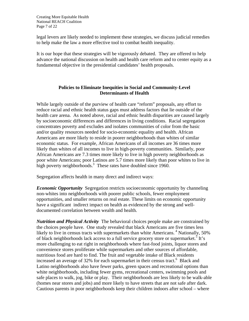Creating More Equitable Health National REACH Coalition Page 7 of 22

legal levers are likely needed to implement these strategies, we discuss judicial remedies to help make the law a more effective tool to combat health inequality.

It is our hope that these strategies will be vigorously debated. They are offered to help advance the national discussion on health and health care reform and to center equity as a fundamental objective in the presidential candidates' health proposals.

#### **Policies to Eliminate Inequities in Social and Community-Level Determinants of Health**

While largely outside of the purview of health care "reform" proposals, any effort to reduce racial and ethnic health status gaps must address factors that lie outside of the health care arena. As noted above, racial and ethnic health disparities are caused largely by socioeconomic differences and differences in living conditions. Racial segregation concentrates poverty and excludes and isolates communities of color from the basic and/or quality resources needed for socio-economic equality and health. African Americans are more likely to reside in poorer neighborhoods than whites of similar economic status. For example, African Americans of all incomes are 36 times more likely than whites of all incomes to live in high-poverty communities. Similarly, poor African Americans are 7.3 times more likely to live in high poverty neighborhoods as poor white Americans; poor Latinos are 5.7 times more likely than poor whites to live in high poverty neighborhoods.<sup>3</sup> These rates have doubled since 1960.

Segregation affects health in many direct and indirect ways:

*Economic Opportunity* Segregation restricts socioeconomic opportunity by channeling non-whites into neighborhoods with poorer public schools, fewer employment opportunities, and smaller returns on real estate. These limits on economic opportunity have a significant indirect impact on health as evidenced by the strong and welldocumented correlation between wealth and health.

*Nutrition and Physical Activity* The behavioral choices people make are constrained by the choices people have. One study revealed that black Americans are five times less likely to live in census tracts with supermarkets than white Americans.<sup>4</sup> Nationally, 50% of black neighborhoods lack access to a full service grocery store or supermarket.<sup>5</sup> It's more challenging to eat right in neighborhoods where fast-food joints, liquor stores and convenience stores proliferate while supermarkets and other sources of affordable, nutritious food are hard to find. The fruit and vegetable intake of Black residents increased an average of 32% for each supermarket in their census tract.<sup>6</sup> Black and Latino neighborhoods also have fewer parks, green spaces and recreational options than white neighborhoods, including fewer gyms, recreational centers, swimming pools and safe places to walk, jog, bike or play. Their neighborhoods are less likely to be walk-able (homes near stores and jobs) and more likely to have streets that are not safe after dark. Cautious parents in poor neighborhoods keep their children indoors after school – where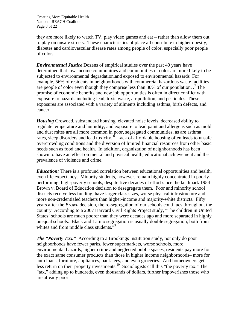Creating More Equitable Health National REACH Coalition Page 8 of 22

they are more likely to watch TV, play video games and eat – rather than allow them out to play on unsafe streets. These characteristics of place all contribute to higher obesity, diabetes and cardiovascular disease rates among people of color, especially poor people of color.

*Environmental Justice* Dozens of empirical studies over the past 40 years have determined that low-income communities and communities of color are more likely to be subjected to environmental degradation.and exposed to environmental hazards For example, 56% of residents in neighborhoods with commercial hazardous waste facilities are people of color even though they comprise less than  $30\%$  of our population.  $\cdot$  The promise of economic benefits and new job opportunities is often in direct conflict with exposure to hazards including lead, toxic waste, air pollution, and pesticides. These exposures are associated with a variety of ailments including asthma, birth defects, and cancer.

*Housing* Crowded, substandard housing, elevated noise levels, decreased ability to regulate temperature and humidity, and exposure to lead paint and allergens such as mold and dust mites are all more common in poor, segregated communities, as are asthma rates, sleep disorders and lead toxicity.<sup>8</sup> Lack of affordable housing often leads to unsafe overcrowding conditions and the diversion of limited financial resources from other basic needs such as food and health. In addition, organization of neighborhoods has been shown to have an effect on mental and physical health, educational achievement and the prevalence of violence and crime.

*Education:* There is a profound correlation between educational opportunities and health, even life expectancy. Minority students, however, remain highly concentrated in poorlyperforming, high-poverty schools, despite five decades of effort since the landmark 1954 Brown v. Board of Education decision to desegregate them. Poor and minority school districts receive less funding, have larger class sizes, worse physical infrastructure and more non-credentialed teachers than higher-income and majority-white districts. Fifty years after the *Brown* decision, the re-segregation of our schools continues throughout the country. According to a 2007 Harvard Civil Rights Project study, "The children in United States' schools are much poorer than they were decades ago and more separated in highly unequal schools. Black and Latino segregation is usually double segregation, both from whites and from middle class students."<sup>9</sup>

*The "Poverty Tax."* According to a Brookings Institution study, not only do poor neighborhoods have fewer parks, fewer supermarkets, worse schools, more environmental hazards, higher crime and neglected public spaces, residents pay more for the exact same consumer products than those in higher income neighborhoods– more for auto loans, furniture, appliances, bank fees, and even groceries. And homeowners get less return on their property investments.<sup>10</sup> Sociologists call this "the poverty tax." The "tax," adding up to hundreds, even thousands of dollars, further impoverishes those who are already poor.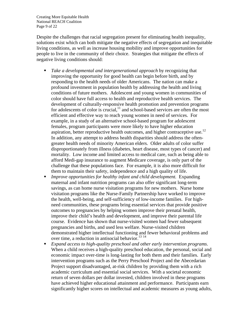Creating More Equitable Health National REACH Coalition Page 9 of 22

Despite the challenges that racial segregation present for eliminating health inequality, solutions exist which can both mitigate the negative effects of segregation and inequitable living conditions, as well as increase housing mobility and improve opportunities for people to live in the community of their choice. Strategies that mitigate the effects of negative living conditions should:

- *Take a developmental and intergenerational approach* by recognizing that improving the opportunity for good health can begin before birth, and by responding to the health needs of older Americans. The nation can make a profound investment in population health by addressing the health and living conditions of future mothers. Adolescent and young women in communities of color should have full access to health and reproductive health services. The development of culturally-responsive health promotion and prevention programs for adolescents of color is crucial, $\frac{1}{11}$  and school-based services are often the most efficient and effective way to reach young women in need of services. For example, in a study of an alternative school-based program for adolescent females, program participants were more likely to have higher education aspiration, better reproductive health outcomes, and higher contraceptive use.<sup>12</sup> In addition, any attempt to address health disparities should address the oftengreater health needs of minority American elders. Older adults of color suffer disproportionately from illness (diabetes, heart disease, most types of cancer) and mortality. Low income and limited access to medical care, such as being able to afford Medi-gap insurance to augment Medicare coverage, is only part of the challenge that these populations face. For example, it is also more difficult for them to maintain their safety, independence and a high quality of life.
- *Improve opportunities for healthy infant and child development.* Expanding maternal and infant nutrition programs can also offer significant long-term savings, as can home nurse visitation programs for new mothers. Nurse home visitation programs like the Nurse-Family Partnership have worked to improve the health, well-being, and self-sufficiency of low-income families. For highneed communities, these programs bring essential services that provide positive outcomes to pregnancies by helping women improve their prenatal health, improve their child's health and development, and improve their parental life course. Evidence has shown that nurse-visited women had fewer subsequent pregnancies and births, and used less welfare. Nurse-visited children demonstrated higher intellectual functioning and fewer behavioral problems and over time, a reduction in antisocial behavior.<sup>13 14</sup>
- *Expand access to high-quality preschool and other early intervention programs*. When a child receives a high-quality preschool education, the personal, social and economic impact over-time is long-lasting for both them and their families. Early intervention programs such as the Perry Preschool Project and the Abecedarian Project support disadvantaged, at-risk children by providing them with a rich academic curriculum and essential social services. With a societal economic return of seven dollars per dollar invested, children involved in these programs have achieved higher educational attainment and performance. Participants earn significantly higher scores on intellectual and academic measures as young adults,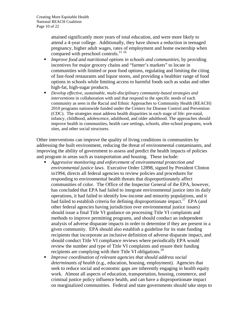attained significantly more years of total education, and were more likely to attend a 4-year college. Additionally, they have shown a reduction in teenaged pregnancy, higher adult wages, rates of employment and home ownership when compared with preschool controls.<sup>15 16</sup>

- *Improve food and nutritional options in schools and communities*, by providing incentives for major grocery chains and "farmer's markets" to locate in communities with limited or poor food options, regulating and limiting the citing of fast-food restaurants and liquor stores, and providing a healthier range of food options in schools while limiting access to harmful foods such as sodas and other high-fat, high-sugar products.
- *Develop effective, sustainable, multi-disciplinary community-based strategies and interventions* in collaboration with and that respond to the specific needs of each community as seen in the Racial and Ethnic Approaches to Community Health (REACH) 2010 programs nationwide funded under the Centers for Disease Control and Prevention (CDC). The strategies must address health disparities in each stage of life: pre-natal, infancy, childhood, adolescence, adulthood, and older adulthood. The approaches should improve health in communities, health care settings, schools, after-school programs, work sites, and other social structures.

Other interventions can improve the quality of living conditions in communities by addressing the built environment, reducing the threat of environmental contaminants, and improving the ability of government to assess and predict the health impacts of policies and program in areas such as transportation and housing. These include:

- *Aggressive monitoring and enforcement of environmental protection and environmental justice laws*. Executive Order 12898, signed by President Clinton in1994, directs all federal agencies to review policies and procedures for responding to environmental health threats that disproportionately affect communities of color. The Office of the Inspector General of the EPA, however, has concluded that EPA had failed to integrate environmental justice into its daily operations, it had failed to identify low-income and minority populations, and it had failed to establish criteria for defining disproportionate impact.<sup>17</sup> EPA (and other federal agencies having jurisdiction over environmental justice issues) should issue a final Title VI guidance on processing Title VI complaints and methods to improve permitting programs, and should conduct an independent analysis of adverse disparate impacts in order to determine if they are present in a given community. EPA should also establish a guideline for its state funding recipients that incorporate an inclusive definition of adverse disparate impact, and should conduct Title VI compliance reviews where periodically EPA would review the number and type of Title VI complaints and ensure their funding recipients are complying with their Title VI obligations.<sup>18</sup>
- *Improve coordination of relevant agencies that should address social determinants of health* (e.g., education, housing, employment). Agencies that seek to reduce social and economic gaps are inherently engaging in health equity work. Almost all aspects of education, transportation, housing, commerce, and criminal justice policy influence health, and can have a disproportionate impact on marginalized communities. Federal and state governments should take steps to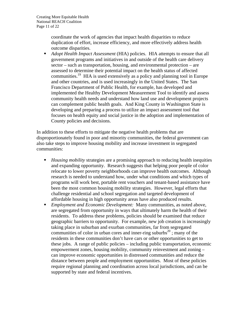coordinate the work of agencies that impact health disparities to reduce duplication of effort, increase efficiency, and more effectively address health outcome disparities.

 *Adopt Health Impact Assessment* (HIA) policies. HIA attempts to ensure that all government programs and initiatives in and outside of the health care delivery sector – such as transportation, housing, and environmental protection – are assessed to determine their potential impact on the health status of affected communities.19 HIA is used extensively as a policy and planning tool in Europe and other countries, and is used increasingly in the United States. The San Francisco Department of Public Health, for example, has developed and implemented the Healthy Development Measurement Tool to identify and assess community health needs and understand how land use and development projects can complement public health goals. And King County in Washington State is developing and preparing a process to utilize an impact assessment tool that focuses on health equity and social justice in the adoption and implementation of County policies and decisions.

In addition to these efforts to mitigate the negative health problems that are disproportionately found in poor and minority communities, the federal government can also take steps to improve housing mobility and increase investment in segregated communities:

- *Housing mobility* strategies are a promising approach to reducing health inequities and expanding opportunity. Research suggests that helping poor people of color relocate to lower poverty neighborhoods can improve health outcomes. Although research is needed to understand how, under what conditions and which types of programs will work best, portable rent vouchers and tenant-based assistance have been the most common housing mobility strategies. However, legal efforts that challenge residential and school segregation and targeted development of affordable housing in high opportunity areas have also produced results.
- *Employment and Economic Development:* Many communities, as noted above, are segregated from opportunity in ways that ultimately harm the health of their residents. To address these problems, policies should be examined that reduce geographic barriers to opportunity. For example, new job creation is increasingly taking place in suburban and exurban communities, far from segregated communities of color in urban cores and inner-ring suburbs<sup>20</sup>; many of the residents in these communities don't have cars or other opportunities to get to these jobs. A range of public policies – including public transportation, economic empowerment zones, housing mobility, community reinvestment and zoning – can improve economic opportunities in distressed communities and reduce the distance between people and employment opportunities. Most of these policies require regional planning and coordination across local jurisdictions, and can be supported by state and federal incentives.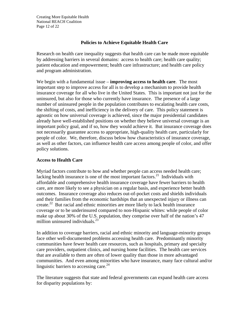Creating More Equitable Health National REACH Coalition Page 12 of 22

#### **Policies to Achieve Equitable Health Care**

Research on health care inequality suggests that health care can be made more equitable by addressing barriers in several domains: access to health care; health care quality; patient education and empowerment; health care infrastructure; and health care policy and program administration.

We begin with a fundamental issue – **improving access to health care**. The most important step to improve access for all is to develop a mechanism to provide health insurance coverage for all who live in the United States. This is important not just for the uninsured, but also for those who currently have insurance. The presence of a large number of uninsured people in the population contributes to escalating health care costs, the shifting of costs, and inefficiency in the delivery of care. This policy statement is agnostic on how universal coverage is achieved, since the major presidential candidates already have well-established positions on whether they believe universal coverage is an important policy goal, and if so, how they would achieve it. But insurance coverage does not necessarily guarantee access to appropriate, high-quality health care, particularly for people of color. We, therefore, discuss below how characteristics of insurance coverage, as well as other factors, can influence health care access among people of color, and offer policy solutions.

#### **Access to Health Care**

Myriad factors contribute to how and whether people can access needed health care; lacking health insurance is one of the most important factors. $^{21}$  Individuals with affordable and comprehensive health insurance coverage have fewer barriers to health care, are more likely to see a physician on a regular basis, and experience better health outcomes. Insurance coverage also reduces out-of-pocket costs and shields individuals and their families from the economic hardships that an unexpected injury or illness can create.<sup>22</sup> But racial and ethnic minorities are more likely to lack health insurance coverage or to be underinsured compared to non-Hispanic whites: while people of color make up about 30% of the U.S. population, they comprise over half of the nation's 47 million uninsured individuals. $^{23}$ 

In addition to coverage barriers, racial and ethnic minority and language-minority groups face other well-documented problems accessing health care. Predominantly minority communities have fewer health care resources, such as hospitals, primary and specialty care providers, outpatient clinics, and nursing home facilities. The health care services that are available to them are often of lower quality than those in more advantaged communities. And even among minorities who have insurance, many face cultural and/or linguistic barriers to accessing care.<sup>24</sup>

The literature suggests that state and federal governments can expand health care access for disparity populations by: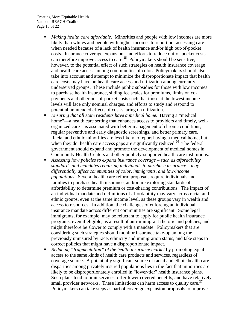Creating More Equitable Health National REACH Coalition Page 13 of 22

- *Making health care affordable*. Minorities and people with low incomes are more likely than whites and people with higher incomes to report not accessing care when needed because of a lack of health insurance and/or high out-of-pocket costs. Insurance coverage expansions and efforts to reduce out-of-pocket costs can therefore improve access to care.<sup>25</sup> Policymakers should be sensitive, however, to the potential effect of such strategies on health insurance coverage and health care access among communities of color. Policymakers should also take into account and attempt to minimize the disproportionate impact that health care costs may have on health care access and utilization among currently underserved groups. These include public subsidies for those with low incomes to purchase health insurance, sliding fee scales for premiums, limits on copayments and other out-of-pocket costs such that those at the lowest income levels will face only nominal charges, and efforts to study and respond to potential unintended effects of cost-sharing on utilization.
- *Ensuring that all state residents have a medical home*. Having a "medical home"—a health care setting that enhances access to providers and timely, wellorganized care—is associated with better management of chronic conditions, regular preventive and early diagnostic screenings, and better primary care. Racial and ethnic minorities are less likely to report having a medical home, but when they do, health care access gaps are significantly reduced.<sup>26</sup> The federal government should expand and promote the development of medical homes in Community Health Centers and other publicly-supported health care institutions.
- *Assessing how policies to expand insurance coverage such as affordability standards and mandates requiring individuals to purchase insurance – may differentially affect communities of color, immigrants, and low-income populations*. Several health care reform proposals require individuals and families to purchase health insurance, and/or are exploring standards of affordability to determine premium or cost-sharing contributions. The impact of an individual mandate and definitions of affordability may vary across racial and ethnic groups, even at the same income level, as these groups vary in wealth and access to resources. In addition, the challenges of enforcing an individual insurance mandate across different communities are significant. Some legal immigrants, for example, may be reluctant to apply for public health insurance programs, even if eligible, as a result of anti-immigrant rhetoric and policies, and might therefore be slower to comply with a mandate. Policymakers that are considering such strategies should monitor insurance take-up among the previously uninsured by race, ethnicity and immigration status, and take steps to correct policies that might have a disproportionate impact.
- *Reducing "fragmentation" of the health insurance market* by promoting equal access to the same kinds of health care products and services, regardless of coverage source. A potentially significant source of racial and ethnic health care disparities among privately insured populations lies in the fact that minorities are likely to be disproportionately enrolled in "lower-tier" health insurance plans. Such plans tend to limit services, offer fewer covered benefits, and have relatively small provider networks. These limitations can harm access to quality care.<sup>27</sup> Policymakers can take steps as part of coverage expansion proposals to improve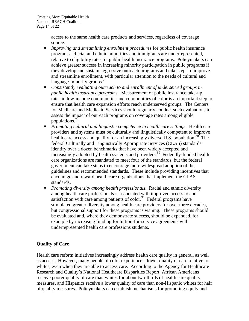access to the same health care products and services, regardless of coverage source.

- *Improving and streamlining enrollment procedures* for public health insurance programs. Racial and ethnic minorities and immigrants are underrepresented, relative to eligibility rates, in public health insurance programs. Policymakers can achieve greater success in increasing minority participation in public programs if they develop and sustain aggressive outreach programs and take steps to improve and streamline enrollment, with particular attention to the needs of cultural and language-minority groups. $^{28}$
- *Consistently evaluating outreach to and enrollment of underserved groups in public health insurance programs*. Measurement of public insurance take-up rates in low-income communities and communities of color is an important step to ensure that health care expansion efforts reach underserved groups. The Centers for Medicare and Medicaid Services should regularly conduct such evaluations to assess the impact of outreach programs on coverage rates among eligible populations.29
- *Promoting cultural and linguistic competence in health care settings*. Health care providers and systems must be culturally and linguistically competent to improve health care access and quality for an increasingly diverse U.S. population.<sup>30</sup> The federal Culturally and Linguistically Appropriate Services (CLAS) standards identify over a dozen benchmarks that have been widely accepted and increasingly adopted by health systems and providers.<sup>31</sup> Federally-funded health care organizations are mandated to meet four of the standards, but the federal government can take steps to encourage more widespread adoption of the guidelines and recommended standards. These include providing incentives that encourage and reward health care organizations that implement the CLAS standards.
- *Promoting diversity among health professionals*. Racial and ethnic diversity among health care professionals is associated with improved access to and satisfaction with care among patients of color.<sup>32</sup> Federal programs have stimulated greater diversity among health care providers for over three decades, but congressional support for these programs is waning. These programs should be evaluated and, where they demonstrate success, should be expanded, for example by increasing funding for tuition-for-service agreements with underrepresented health care professions students.

## **Quality of Care**

Health care reform initiatives increasingly address health care quality in general, as well as access. However, many people of color experience a lower quality of care relative to whites, even when they are able to access care. According to the Agency for Healthcare Research and Quality's National Healthcare Disparities Report, African Americans receive poorer quality of care than whites for about two-thirds of health care quality measures, and Hispanics receive a lower quality of care than non-Hispanic whites for half of quality measures. Policymakers can establish mechanisms for promoting equity and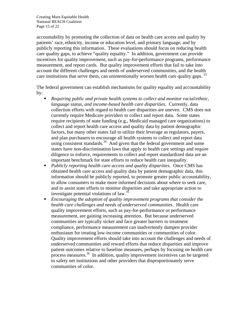Creating More Equitable Health National REACH Coalition Page 15 of 22

accountability by promoting the collection of data on health care access and quality by patients' race, ethnicity, income or education level, and primary language, and by publicly reporting this information. These evaluations should focus on reducing health care quality gaps, to achieve "quality equality." In addition, government can provide incentives for quality improvement, such as pay-for-performance programs, performance measurement, and report cards. But quality improvement efforts that fail to take into account the different challenges and needs of underserved communities, and the health care institutions that serve them, can unintentionally worsen health care quality gaps.<sup>33</sup>

The federal government can establish mechanisms for quality equality and accountability by:

- *Requiring public and private health systems to collect and monitor racial/ethnic, language status, and income-based health care disparities*. Currently, data collection efforts with regard to health care disparities are uneven. CMS does not currently require Medicare providers to collect and report data. Some states require recipients of state funding (e.g., Medicaid managed care organizations) to collect and report health care access and quality data by patient demographic factors, but many other states fail to utilize their leverage as regulators, payers, and plan purchasers to encourage all health systems to collect and report data using consistent standards.<sup>34</sup> And given that the federal government and some states have non-discrimination laws that apply to health care settings and require diligence to enforce, requirements to collect and report standardized data are an important benchmark for state efforts to reduce health care inequality.
- *Publicly reporting health care access and quality disparities*. Once CMS has obtained health care access and quality data by patient demographic data, this information should be publicly reported, to promote greater public accountability, to allow consumers to make more informed decisions about where to seek care, and to assist state efforts to monitor disparities and take appropriate action to investigate potential violations of law.35
- *Encouraging the adoption of quality improvement programs that consider the health care challenges and needs of underserved communities*. Health care quality improvement efforts, such as pay-for-performance or performance measurement, are gaining increasing attention. But because underserved communities are typically sicker and face greater barriers to treatment compliance, performance measurement can inadvertently dampen provider enthusiasm for treating low-income communities or communities of color. Quality improvement efforts should take into account the challenges and needs of underserved communities and reward efforts that reduce disparities and improve patient outcomes relative to baseline measures, perhaps by focusing on health care process measures.36 In addition, quality improvement incentives can be targeted to safety net institutions and other providers that disproportionately serve communities of color.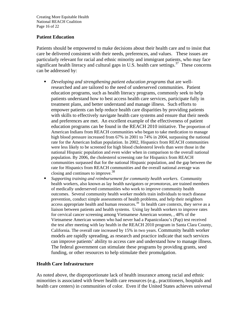Creating More Equitable Health National REACH Coalition Page 16 of 22

#### **Patient Education**

Patients should be empowered to make decisions about their health care and to insist that care be delivered consistent with their needs, preferences, and values. These issues are particularly relevant for racial and ethnic minority and immigrant patients, who may face significant health literacy and cultural gaps in U.S. health care settings.<sup>37</sup> These concerns can be addressed by:

- *Developing and strengthening patient education programs* that are wellresearched and are tailored to the need of underserved communities. Patient education programs, such as health literacy programs, commonly seek to help patients understand how to best access health care services, participate fully in treatment plans, and better understand and manage illness. Such efforts to empower patients can help reduce health care disparities by providing patients with skills to effectively navigate health care systems and ensure that their needs and preferences are met. An excellent example of the effectiveness of patient education programs can be found in the REACH 2010 initiative. The proportion of American Indians from REACH communities who began to take medication to manage high blood pressure increased from 67% in 2001 to 74% in 2004, surpassing the national rate for the American Indian population. In 2002, Hispanics from REACH communities were less likely to be screened for high blood cholesterol levels than were those in the national Hispanic population and even wider when in comparison to the overall national population. By 2006, the cholesterol screening rate for Hispanics from REACH communities surpassed that for the national Hispanic population, and the gap between the rate for Hispanics from REACH communities and the overall national average was closing and continues to improve.<sup>38</sup>
- *Supporting training and reimbursement for community health workers*. Community health workers, also known as lay health navigators or *promotoras*, are trained members of medically underserved communities who work to improve community health outcomes. Several community health worker models train individuals to teach disease prevention, conduct simple assessments of health problems, and help their neighbors  $\frac{1}{\text{access}}$  appropriate health and human resources.<sup>39</sup> In health care contexts, they serve as a liaison between patients and health systems. Using lay health workers to improve rates for cervical cancer screening among Vietnamese American women, , 48% of the Vietnamese American women who had never had a Papanicolaou's (Pap) test received the test after meeting with lay health in the REACH 2010 program in Santa Clara County, California. The overall rate increased by 15% in two years. Community health worker models are rapidly spreading, as research and practice indicate that such services can improve patients' ability to access care and understand how to manage illness. The federal government can stimulate these programs by providing grants, seed funding, or other resources to help stimulate their promulgation.

#### **Health Care Infrastructure**

As noted above, the disproportionate lack of health insurance among racial and ethnic minorities is associated with fewer health care resources (e.g., practitioners, hospitals and health care centers) in communities of color. Even if the United States achieves universal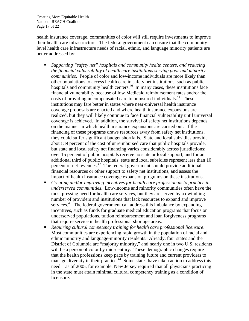Creating More Equitable Health National REACH Coalition Page 17 of 22

health insurance coverage, communities of color will still require investments to improve their health care infrastructure. The federal government can ensure that the communitylevel health care infrastructure needs of racial, ethnic, and language minority patients are better addressed by:

- *Supporting "safety net" hospitals and community health centers, and reducing the financial vulnerability of health care institutions serving poor and minority communities*. People of color and low-income individuals are more likely than other populations to access health care in safety net institutions, such as public hospitals and community health centers.<sup>40</sup> In many cases, these institutions face financial vulnerability because of low Medicaid reimbursement rates and/or the costs of providing uncompensated care to uninsured individuals.<sup>41</sup> These institutions may fare better in states where near-universal health insurance coverage proposals are enacted and where health insurance expansions are realized, but they will likely continue to face financial vulnerability until universal coverage is achieved. In addition, the survival of safety net institutions depends on the manner in which health insurance expansions are carried out. If the financing of these programs draws resources away from safety net institutions, they could suffer significant budget shortfalls. State and local subsidies provide about 39 percent of the cost of unreimbursed care that public hospitals provide, but state and local safety net financing varies considerably across jurisdictions; over 15 percent of public hospitals receive no state or local support, and for an additional third of public hospitals, state and local subsidies represent less than 10 percent of net revenues.<sup>42</sup> The federal government should provide additional financial resources or other support to safety net institutions, and assess the impact of health insurance coverage expansion programs on these institutions.
- *Creating and/or improving incentives for health care professionals to practice in underserved communities*. Low-income and minority communities often have the most pressing need for health care services, but they are served by a dwindling number of providers and institutions that lack resources to expand and improve services.<sup>43</sup> The federal government can address this imbalance by expanding incentives, such as funds for graduate medical education programs that focus on underserved populations, tuition reimbursement and loan forgiveness programs that require service in health professional shortage areas.
- *Requiring cultural competency training for health care professional licensure*. Most communities are experiencing rapid growth in the population of racial and ethnic minority and language-minority residents. Already, four states and the District of Columbia are "majority minority," and nearly one in two U.S. residents will be a person of color by mid-century. These demographic changes require that the health professions keep pace by training future and current providers to manage diversity in their practice.<sup>44</sup> Some states have taken action to address this need—as of 2005, for example, New Jersey required that all physicians practicing in the state must attain minimal cultural competency training as a condition of licensure.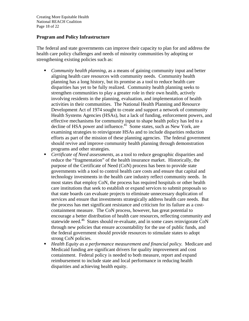Creating More Equitable Health National REACH Coalition Page 18 of 22

#### **Program and Policy Infrastructure**

The federal and state governments can improve their capacity to plan for and address the health care policy challenges and needs of minority communities by adopting or strengthening existing policies such as:

- *Community health planning*, as a means of gaining community input and better aligning health care resources with community needs. Community health planning has a long history, but its promise as a tool to reduce health care disparities has yet to be fully realized. Community health planning seeks to strengthen communities to play a greater role in their own health, actively involving residents in the planning, evaluation, and implementation of health activities in their communities. The National Health Planning and Resource Development Act of 1974 sought to create and support a network of community Health Systems Agencies (HSAs), but a lack of funding, enforcement powers, and effective mechanisms for community input to shape health policy has led to a decline of HSA power and influence.<sup>45</sup> Some states, such as New York, are examining strategies to reinvigorate HSAs and to include disparities reduction efforts as part of the mission of these planning agencies. The federal government should revive and improve community health planning through demonstration programs and other strategies.
- *Certificate of Need assessments*, as a tool to reduce geographic disparities and reduce the "fragmentation" of the health insurance market. Historically, the purpose of the Certificate of Need (CoN) process has been to provide state governments with a tool to control health care costs and ensure that capital and technology investments in the health care industry reflect community needs. In most states that employ CoN, the process has required hospitals or other health care institutions that seek to establish or expand services to submit proposals so that state boards can evaluate projects to eliminate unnecessary duplication of services and ensure that investments strategically address health care needs. But the process has met significant resistance and criticism for its failure as a costcontainment measure. The CoN process, however, has great potential to encourage a better distribution of health care resources, reflecting community and statewide need.<sup>46</sup> States should re-evaluate, and in some cases reinvigorate CoN through new policies that ensure accountability for the use of public funds, and the federal government should provide resources to stimulate states to adopt strong CoN policies.
- *Health Equity as a performance measurement and financial policy.* Medicare and Medicaid funding are significant drivers for quality improvement and cost containment. Federal policy is needed to both measure, report and expand reimbursement to include state and local performance in reducing health disparities and achieving health equity.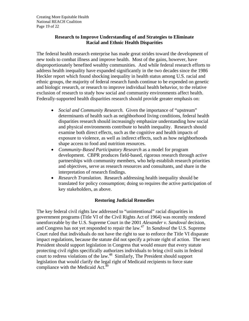#### **Research to Improve Understanding of and Strategies to Eliminate Racial and Ethnic Health Disparities**

The federal health research enterprise has made great strides toward the development of new tools to combat illness and improve health. Most of the gains, however, have disproportionately benefited wealthy communities. And while federal research efforts to address health inequality have expanded significantly in the two decades since the 1986 Heckler report which found shocking inequality in health status among U.S. racial and ethnic groups, the majority of federal research funds continue to be expended on genetic and biologic research, or research to improve individual health behavior, to the relative exclusion of research to study how social and community environments affect health. Federally-supported health disparities research should provide greater emphasis on:

- *Social and Community Research.* Given the importance of "upstream" determinants of health such as neighborhood living conditions, federal health disparities research should increasingly emphasize understanding how social and physical environments contribute to health inequality. Research should examine both direct effects, such as the cognitive and health impacts of exposure to violence, as well as indirect effects, such as how neighborhoods shape access to food and nutrition resources.
- *Community-Based Participatory Research* as a model for program development. CBPR produces field-based, rigorous research through active partnerships with community members, who help establish research priorities and objectives, serve as research resources and consultants, and share in the interpretation of research findings.
- *Research Translation.* Research addressing health inequality should be translated for policy consumption; doing so requires the active participation of key stakeholders, as above.

#### **Restoring Judicial Remedies**

The key federal civil rights law addressed to "unintentional" racial disparities in government programs (Title VI of the Civil Rights Act of 1964) was recently rendered unenforceable by the U.S. Supreme Court in the 2001 *Alexander v. Sandoval* decision, and Congress has not yet responded to repair the law.47 In *Sandoval* the U.S. Supreme Court ruled that individuals do not have the right to sue to enforce the Title VI disparate impact regulations, because the statute did not specify a private right of action. The next President should support legislation in Congress that would ensure that every statute protecting civil rights specifically authorizes individuals to bring civil suits in federal court to redress violations of the law.<sup>48</sup> Similarly, The President should support legislation that would clarify the legal right of Medicaid recipients to force state compliance with the Medicaid Act. $49$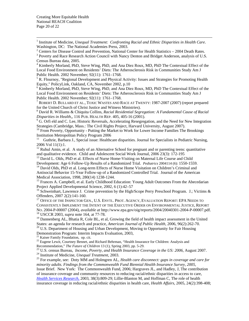$\frac{1}{1}$ <sup>1</sup> Institute of Medicine, *Unequal Treatment: Confronting Racial and Ethnic Disparities in Health Care.* Washington, DC: The National Academies Press, 2003.

<sup>2</sup> Centers for Disease Control and Prevention, National Center for Health Statistics – 2004 Death Rates.<br><sup>3</sup> Poverty and Base Basearch Action Council with Nancy Depten and Bridget Anderson, anglysis of U.S.

<sup>4</sup> Kimberly Morland, PhD, Steve Wing, PhD, and Ana Diez Roux, MD, PhD The Contextual Effect of the Local Food Environment on Residents' Diets: The Atherosclerosis Risk in Communities Study Am J Public Health. 2002 November; 92(11): 1761–1768.

<sup>5</sup> R. Flournoy, "Regional Development and Physical Activity: Issues and Strategies for Promoting Health Equity," PolicyLink, Oakland, CA, November 2002, p.10

<sup>6</sup> Kimberly Morland, PhD, Steve Wing, PhD, and Ana Diez Roux, MD, PhD The Contextual Effect of the Local Food Environment on Residents' Diets: The Atherosclerosis Risk in Communities Study Am J Public Health. 2002 November; 92(11): 1761–1768.

 $^7$  ROBERT D. BULLARD ET AL., TOXIC WASTES AND RACE AT TWENTY: 1987-2007 (2007) (report prepared for the United Church of Christ Justice and Witness Ministries).

8 David R. Williams & Chiquita Collins, *Racial Residential Segregation: A Fundamental Cause of Racial Disparities in Health*,*,* 116 PUB. HEALTH REP. 405, 405-16 (2001). 9

<sup>9</sup> G. Orfi eld and C. Lee, Historic Reversals, Accelerating Resegregation, and the Need for New Integration Strategies (Cambridge, Mass.: The Civil Rights Project, Harvard University, August 2007).

<sup>10</sup> From Poverty, Opportunity - Putting the Market to Work for Lower Income Families The Brookings Institution Metropolitan Policy Program 2006<br><sup>11</sup> Guthrie Barbara J. Special issue: Healthc

11 Guthrie, Barbara J., Special issue: Healthcare disparities. Journal for Specialists in Pediatric Nursing, 2006 Vol 11(1):1.

 $12$  Ruhul Amin, et al. A study of an Alternative School for pregnant and or parenting teens: quantitative and qualitative evidence. Child and Adolescent Social Work Journal, 2006 23(3): 172-195

<sup>13</sup> David L. Olds, PhD et al. Effects of Nurse Home-Visiting on Maternal Life Course and Child

Development: Age 6 Follow-Up Results of a Randomized Trial. *Pediatrics* 2004114 (6): 1550-1559.<br><sup>14</sup> David Olds, PhD et al. Long-term Effects of Nurse Home Visitation on Children's Criminal and

Antisocial Behavior 15-Year Follow-up of a Randomized Controlled Trial. Journal of the American

Medical Association, 1998, 280(14) 1238-1244.<br><sup>15</sup> Frances A. Campbell, et al. Early Childhood Education: Young Adult Outcomes From the Abecedarian Project Applied Developmental Science, 2002, 6 (1):42–57

<sup>16</sup> Schweinhart, Lawrence J. Crime prevention by the High/Scope Perry Preschool Program. J.; Victims & Offenders, 2007 2(2):141-160.

<sup>17</sup> OFFICE OF THE INSPECTOR GEN., U.S. ENVTL. PROT. AGENCY, EVALUATION REPORT: EPA NEEDS TO CONSISTENTLY IMPLEMENT THE INTENT OF THE EXECUTIVE ORDER ON ENVIRONMENTAL JUSTICE, REPORT NO. 2004-P-00007 (2004), *available at* http://www.epa.gov/oig/reports/2004/20040301-2004-P-00007.pdf. 18 USCCR 2003, *supra* note 164, at 77-78.

 $19$  Dannenberg AL, Bhatia R, Cole BL, et al, Growing the field of health impact assessment in the United States: an agenda for research and practice, *American Journal of Public Health*, 2006, 96(2):262-70.<br><sup>20</sup> U.S. Department of Housing and Urban Development, Moving to Opportunity for Fair Housing

Demonstration Program: Interim Impacts Evaluation, 2003,<br><sup>21</sup> Kaiser Family Foundation, op. cit.

<sup>22</sup> Eugene Lewit, Courtney Bennet, and Richard Behrman, "Health Insurance for Children: Analysis and

Recommendation," *The Future of Children* 13 (1), Spring 2003, pp. 5-29.<br>
<sup>23</sup> U.S. census Bureau, *Income, Poverty, and Health Insurance Coverage in the US: 2006, August 2007*.<br>
<sup>24</sup> Institute of Medicine, *Unequal Treatm* 

*minority adults. Findings from the Commonwealth Fund Biennial Health Insurance Survey, 2005*, Issue Brief. New York: The Commonwealth Fund, 2006; Hargraves JL, and Hadley, J, The contribution of insurance coverage and community resources to reducing racial/ethnic disparities in access to care, *Health Services Research*, 2003, 38(3):809-29; Lillie-Blanton M, and Hoffman C, The role of health insurance coverage in reducing racial/ethnic disparities in health care, *Health Affairs*, 2005, 24(2):398-408;

<sup>&</sup>lt;sup>3</sup> Poverty and Race Research Action Council with Nancy Denton and Bridget Anderson, analysis of U.S. Census Bureau data, 2005.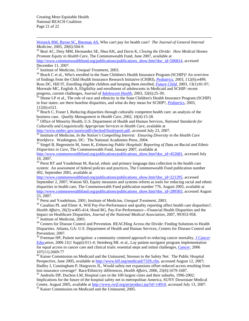Creating More Equitable Health National REACH Coalition Page 21 of 22

Weinick RM, Byron SC, Bierman AS, Who can't pay for health care? *The Journal of General Internal* 

<sup>26</sup> Beal AC, Doty MM, Hernandez SE, Shea KK, and Davis K, *Closing the Divide: How Medical Homes Promote Equity in Health Care*, The Commonwealth Fund, June 2007, available at http://www.commonwealthfund.org/publications/publications\_show.htm?doc\_id=506814, accessed December 11, 2007.<br><sup>27</sup> Institute of Medicine, *Unequal Treatment*, 2003.

<sup>28</sup> Brach C et al., Who's enrolled in the State Children's Health Insurance Program (SCHIP)? An overview of findings from the Child Health Insurance Research Initiative (CHIRI), *Pediatrics.* 2003, 112(6):e499; Ross DC, Hill IT, Enrolling eligible children and keeping them enrolled, *Future Child*, 2003, 13(1):81-97; Morreale MC, English A, Eligibility and enrollment of adolescents in Medicaid and SCHIP: recent progress, current challenges, *Journal of Adolescent Health*, 2003, 32(6):25-39;

 $^{29}$  Shone LP et al., The role of race and ethnicity in the State Children's Health Insurance Program (SCHIP) in four states: are there baseline disparities, and what do they mean for SCHIP?, *Pediatrics,* 2003, 112(6):e521.

 $30$  Brach C, Fraser I, Reducing disparities through culturally competent health care: an analysis of the business case. *Ouality Management in Health Care*, 2002, 10(4):15-28.

<sup>31</sup> Office of Minority Health, U.S. Department of Health and Human Services, *National Standards for Culturally and Linguistically Appropriate Services in Health Care*, available at

http://www.omhrc.gov/assets/pair checked/manageorgesty...<br><sup>32</sup> Institute of Medicine, *In the Nation's Compelling Interest: Ensuring Diversity in the Health Care Workforce*. Washington, DC: The National Academies Press, 2004.<br><sup>33</sup> Siegel B, Regenstein M, Jones K, *Enhancing Public Hospitals' Reporting of Data on Racial and Ethnic* 

*Disparities in Care*, The Commonwealth Fund, January 2007, available at

http://www.commonwealthfund.org/publications/publications\_show.htm?doc\_id=452681, accessed July 10, 2007.

<sup>34</sup> Perot RT and Youdelman M, Racial, ethnic and primary language data collection in the health care system: An assessment of federal policies and practices, The Commonwealth Fund publication number 492, September 2001, available at

http://www.commonwealthfund.org/publications/publications\_show.htm?doc\_id=221295, accessed September 2, 2007; Watson SD, Equity measures and systems reform as tools for reducing racial and ethnic disparities in health care, The Commonwealth Fund publication number 776, August 2005, available at http://www.commonwealthfund.org/publications/publications\_show.htm?doc\_id=289303, accessed August 23, 2007.<br><sup>35</sup> Perot and Youdelman, 2001; Institute of Medicine, *Unequal Treatment*, 2003.

<sup>36</sup> Casalino PL and Elster A, Will Pay-For-Performance and quality reporting affect health care disparities?, *Health Affairs*, 26(3):w405-414; Hood RG, Pay-For-Performance—Financial Health Disparities and the Impact on Healthcare Disparities, *Journal of the National Medical Association*, 2007, 99:953-958. 37 Institute of Medicine, 2003.

<sup>38</sup> Centers for Disease Control and Prevention. REACHing Across the Divide: Finding Solutions to Health Disparities. Atlanta, GA: U.S. Department of Health and Human Services, Centers for Disease Control and Prevention; 2007.

39 Freeman HP, Patient navigation: a community centered approach to reducing cancer mortality, *J Cancer Education,* 2006 21(1 Suppl):S11-4; Steinberg ML et al., Lay patient navigator program implementation for equal access to cancer care and clinical trials: essential steps and initial challenges*, Cancer,* 2006 107(11):2669-77

<sup>40</sup> Kaiser Commission on Medicaid and the Uninsured, Stresses to the Safety Net: The Public Hospital Perspective, June 2005, available at http://www.kff.org/medicaid/7329.cfm, accessed August 12, 2007; Hadley J, Cunningham P, Hargraves JL, Would safety-net expansions offset reduced access resulting from lost insurance coverage? Race/Ethnicity differences, *Health Affairs*, 2006, 25(6):1679-1687. 41 Andrulis DP, Duchon LM, Hospital care in the 100 largest cities and their suburbs, 1996-2002:

Implications for the future of the hospital safety net in metropolitan America, SUNY Downstate Medical Center, August 2005, available at http://www.rwjf.org/pr/product.jsp?id=14910, accessed July 13, 2007.<br><sup>42</sup> Kaiser Commission on Medicaid and the Uninsured, 2005.